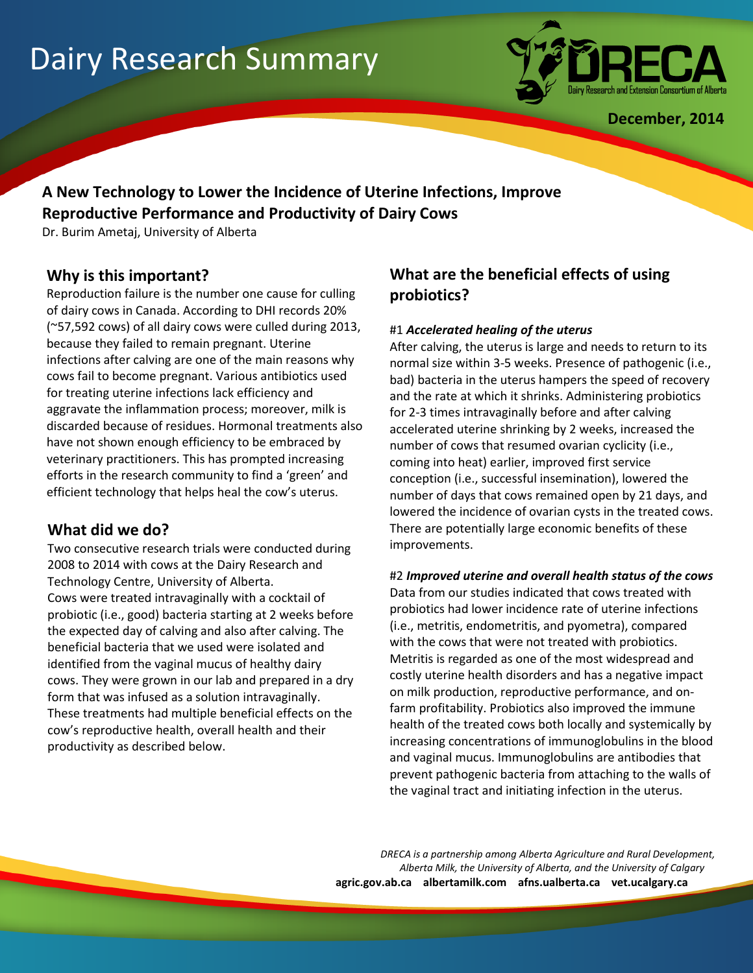# Dairy Research Summary



# **A New Technology to Lower the Incidence of Uterine Infections, Improve Reproductive Performance and Productivity of Dairy Cows**

Dr. Burim Ametaj, University of Alberta

## **Why is this important?**

Reproduction failure is the number one cause for culling of dairy cows in Canada. According to DHI records 20% (~57,592 cows) of all dairy cows were culled during 2013, because they failed to remain pregnant. Uterine infections after calving are one of the main reasons why cows fail to become pregnant. Various antibiotics used for treating uterine infections lack efficiency and aggravate the inflammation process; moreover, milk is discarded because of residues. Hormonal treatments also have not shown enough efficiency to be embraced by veterinary practitioners. This has prompted increasing efforts in the research community to find a 'green' and efficient technology that helps heal the cow's uterus.

## **What did we do?**

Two consecutive research trials were conducted during 2008 to 2014 with cows at the Dairy Research and Technology Centre, University of Alberta. Cows were treated intravaginally with a cocktail of probiotic (i.e., good) bacteria starting at 2 weeks before the expected day of calving and also after calving. The beneficial bacteria that we used were isolated and identified from the vaginal mucus of healthy dairy cows. They were grown in our lab and prepared in a dry form that was infused as a solution intravaginally. These treatments had multiple beneficial effects on the cow's reproductive health, overall health and their productivity as described below.

## **What are the beneficial effects of using probiotics?**

### #1 *Accelerated healing of the uterus*

After calving, the uterus is large and needs to return to its normal size within 3-5 weeks. Presence of pathogenic (i.e., bad) bacteria in the uterus hampers the speed of recovery and the rate at which it shrinks. Administering probiotics for 2-3 times intravaginally before and after calving accelerated uterine shrinking by 2 weeks, increased the number of cows that resumed ovarian cyclicity (i.e., coming into heat) earlier, improved first service conception (i.e., successful insemination), lowered the number of days that cows remained open by 21 days, and lowered the incidence of ovarian cysts in the treated cows. There are potentially large economic benefits of these improvements.

#### #2 *Improved uterine and overall health status of the cows*

Data from our studies indicated that cows treated with probiotics had lower incidence rate of uterine infections (i.e., metritis, endometritis, and pyometra), compared with the cows that were not treated with probiotics. Metritis is regarded as one of the most widespread and costly uterine health disorders and has a negative impact on milk production, reproductive performance, and onfarm profitability. Probiotics also improved the immune health of the treated cows both locally and systemically by increasing concentrations of immunoglobulins in the blood and vaginal mucus. Immunoglobulins are antibodies that prevent pathogenic bacteria from attaching to the walls of the vaginal tract and initiating infection in the uterus.

 *DRECA is a partnership among Alberta Agriculture and Rural Development, Alberta Milk, the University of Alberta, and the University of Calgary* **agric.gov.ab.ca albertamilk.com afns.ualberta.ca vet.ucalgary.ca**